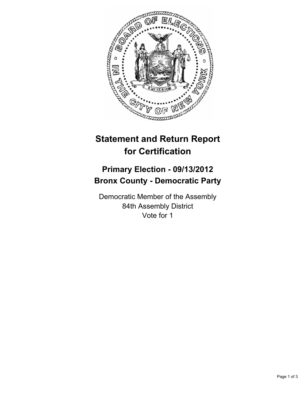

## **Statement and Return Report for Certification**

## **Primary Election - 09/13/2012 Bronx County - Democratic Party**

Democratic Member of the Assembly 84th Assembly District Vote for 1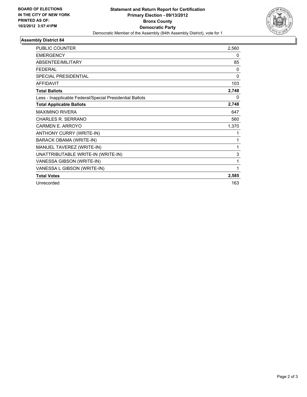

## **Assembly District 84**

| <b>PUBLIC COUNTER</b>                                    | 2,560        |
|----------------------------------------------------------|--------------|
| <b>EMERGENCY</b>                                         | 0            |
| ABSENTEE/MILITARY                                        | 85           |
| <b>FFDFRAL</b>                                           | $\mathbf{0}$ |
| <b>SPECIAL PRESIDENTIAL</b>                              | $\mathbf{0}$ |
| <b>AFFIDAVIT</b>                                         | 103          |
| <b>Total Ballots</b>                                     | 2,748        |
| Less - Inapplicable Federal/Special Presidential Ballots | 0            |
| <b>Total Applicable Ballots</b>                          | 2,748        |
| <b>MAXIMINO RIVERA</b>                                   | 647          |
| <b>CHARLES R. SERRANO</b>                                | 560          |
| <b>CARMEN E. ARROYO</b>                                  | 1,370        |
| ANTHONY CURRY (WRITE-IN)                                 | 1            |
| <b>BARACK OBAMA (WRITE-IN)</b>                           | 1            |
| MANUEL TAVEREZ (WRITE-IN)                                | 1            |
| UNATTRIBUTABLE WRITE-IN (WRITE-IN)                       | 3            |
| VANESSA GIBSON (WRITE-IN)                                | 1            |
| VANESSA L GIBSON (WRITE-IN)                              | 1            |
| <b>Total Votes</b>                                       | 2,585        |
| Unrecorded                                               | 163          |